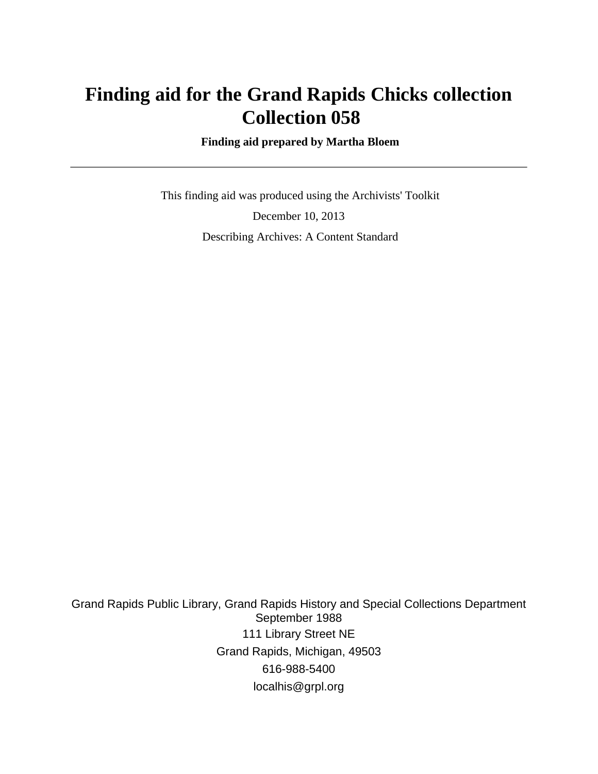# **Finding aid for the Grand Rapids Chicks collection Collection 058**

 **Finding aid prepared by Martha Bloem**

 This finding aid was produced using the Archivists' Toolkit December 10, 2013 Describing Archives: A Content Standard

Grand Rapids Public Library, Grand Rapids History and Special Collections Department September 1988 111 Library Street NE Grand Rapids, Michigan, 49503 616-988-5400 localhis@grpl.org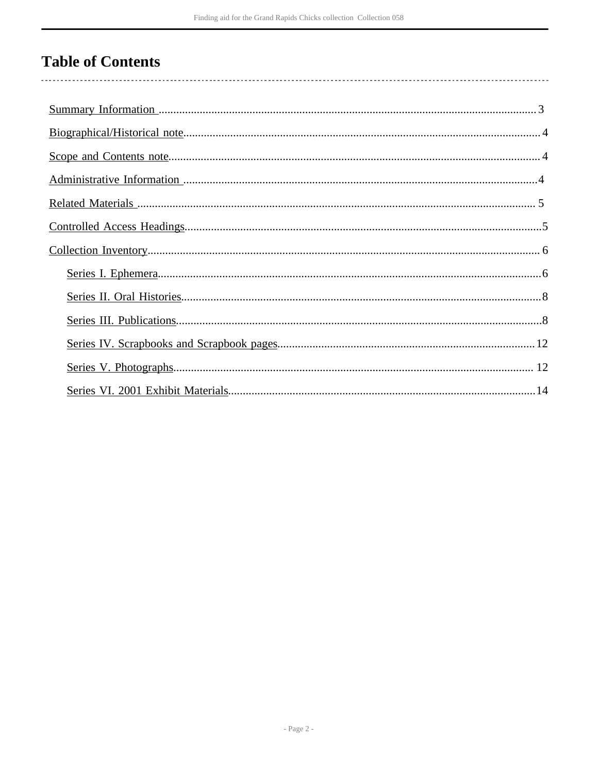# **Table of Contents**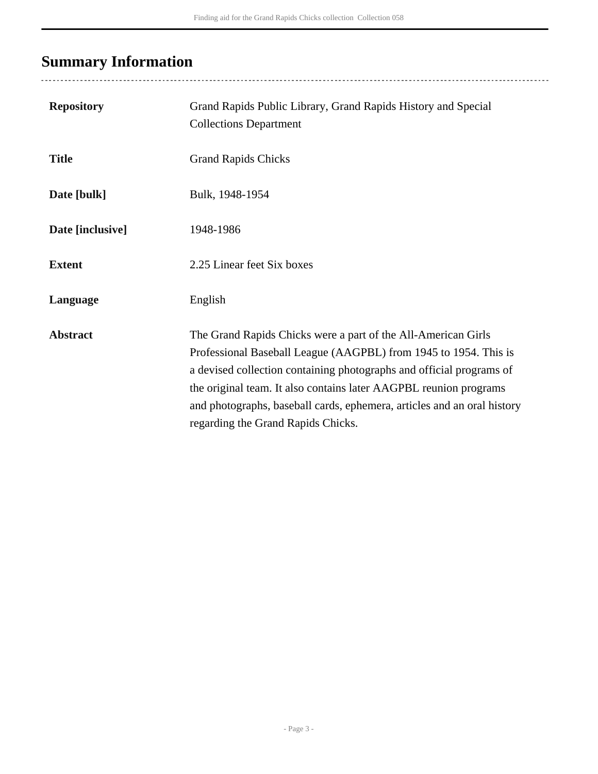# <span id="page-2-0"></span>**Summary Information**

| <b>Repository</b> | Grand Rapids Public Library, Grand Rapids History and Special<br><b>Collections Department</b>                                                                                                                                                                                                                                                                                                  |
|-------------------|-------------------------------------------------------------------------------------------------------------------------------------------------------------------------------------------------------------------------------------------------------------------------------------------------------------------------------------------------------------------------------------------------|
| <b>Title</b>      | <b>Grand Rapids Chicks</b>                                                                                                                                                                                                                                                                                                                                                                      |
| Date [bulk]       | Bulk, 1948-1954                                                                                                                                                                                                                                                                                                                                                                                 |
| Date [inclusive]  | 1948-1986                                                                                                                                                                                                                                                                                                                                                                                       |
| <b>Extent</b>     | 2.25 Linear feet Six boxes                                                                                                                                                                                                                                                                                                                                                                      |
| Language          | English                                                                                                                                                                                                                                                                                                                                                                                         |
| <b>Abstract</b>   | The Grand Rapids Chicks were a part of the All-American Girls<br>Professional Baseball League (AAGPBL) from 1945 to 1954. This is<br>a devised collection containing photographs and official programs of<br>the original team. It also contains later AAGPBL reunion programs<br>and photographs, baseball cards, ephemera, articles and an oral history<br>regarding the Grand Rapids Chicks. |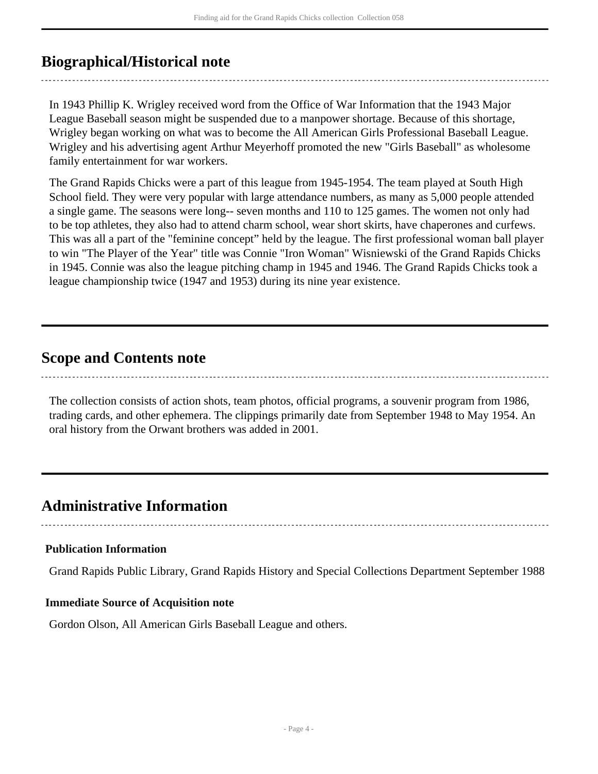# <span id="page-3-0"></span>**Biographical/Historical note**

In 1943 Phillip K. Wrigley received word from the Office of War Information that the 1943 Major League Baseball season might be suspended due to a manpower shortage. Because of this shortage, Wrigley began working on what was to become the All American Girls Professional Baseball League. Wrigley and his advertising agent Arthur Meyerhoff promoted the new "Girls Baseball" as wholesome family entertainment for war workers.

The Grand Rapids Chicks were a part of this league from 1945-1954. The team played at South High School field. They were very popular with large attendance numbers, as many as 5,000 people attended a single game. The seasons were long-- seven months and 110 to 125 games. The women not only had to be top athletes, they also had to attend charm school, wear short skirts, have chaperones and curfews. This was all a part of the "feminine concept" held by the league. The first professional woman ball player to win "The Player of the Year" title was Connie "Iron Woman" Wisniewski of the Grand Rapids Chicks in 1945. Connie was also the league pitching champ in 1945 and 1946. The Grand Rapids Chicks took a league championship twice (1947 and 1953) during its nine year existence.

# <span id="page-3-1"></span>**Scope and Contents note**

The collection consists of action shots, team photos, official programs, a souvenir program from 1986, trading cards, and other ephemera. The clippings primarily date from September 1948 to May 1954. An oral history from the Orwant brothers was added in 2001.

# <span id="page-3-2"></span>**Administrative Information**

## **Publication Information**

Grand Rapids Public Library, Grand Rapids History and Special Collections Department September 1988

## **Immediate Source of Acquisition note**

Gordon Olson, All American Girls Baseball League and others.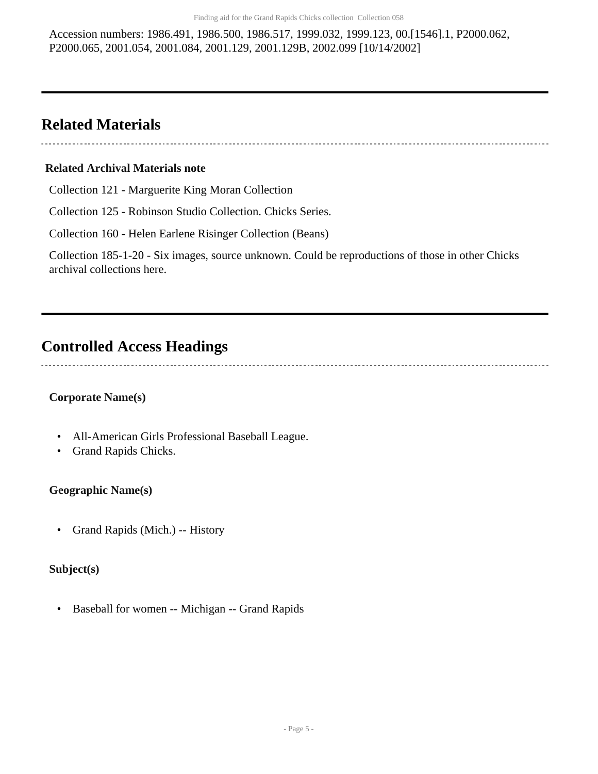Accession numbers: 1986.491, 1986.500, 1986.517, 1999.032, 1999.123, 00.[1546].1, P2000.062, P2000.065, 2001.054, 2001.084, 2001.129, 2001.129B, 2002.099 [10/14/2002]

# <span id="page-4-0"></span>**Related Materials**

#### **Related Archival Materials note**

Collection 121 - Marguerite King Moran Collection

Collection 125 - Robinson Studio Collection. Chicks Series.

Collection 160 - Helen Earlene Risinger Collection (Beans)

Collection 185-1-20 - Six images, source unknown. Could be reproductions of those in other Chicks archival collections here.

# <span id="page-4-1"></span>**Controlled Access Headings**

## **Corporate Name(s)**

- All-American Girls Professional Baseball League.
- Grand Rapids Chicks.

### **Geographic Name(s)**

• Grand Rapids (Mich.) -- History

#### **Subject(s)**

• Baseball for women -- Michigan -- Grand Rapids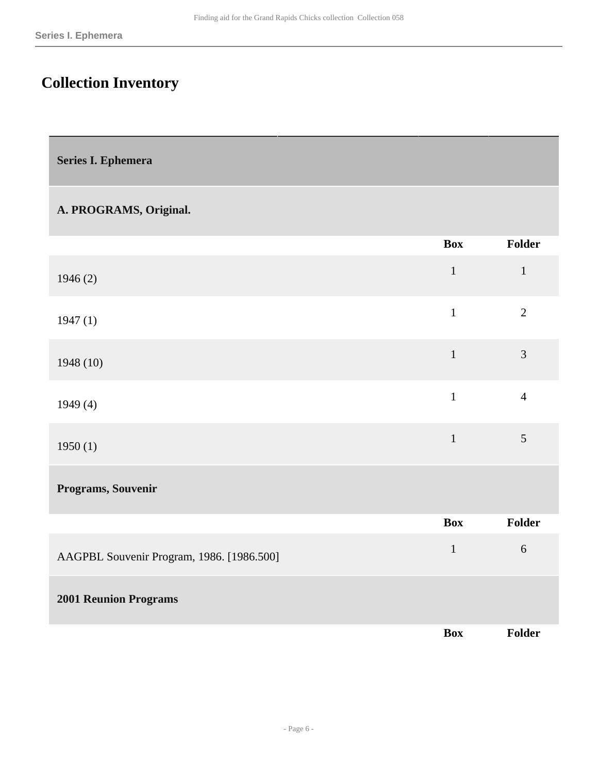# <span id="page-5-0"></span>**Collection Inventory**

<span id="page-5-1"></span>

|  | Series I. Ephemera |
|--|--------------------|
|  |                    |

## **A. PROGRAMS, Original.**

|                                           | <b>Box</b>   | <b>Folder</b>  |
|-------------------------------------------|--------------|----------------|
| 1946(2)                                   | $\mathbf{1}$ | $\mathbf{1}$   |
| 1947(1)                                   | $\mathbf{1}$ | $\overline{2}$ |
| 1948 (10)                                 | $\mathbf{1}$ | $\overline{3}$ |
| 1949(4)                                   | $\mathbf{1}$ | $\overline{4}$ |
| 1950(1)                                   | $\mathbf 1$  | $\mathfrak{S}$ |
| Programs, Souvenir                        |              |                |
|                                           | <b>Box</b>   | Folder         |
| AAGPBL Souvenir Program, 1986. [1986.500] | $\mathbf{1}$ | $6\,$          |
| <b>2001 Reunion Programs</b>              |              |                |
|                                           | <b>Box</b>   | Folder         |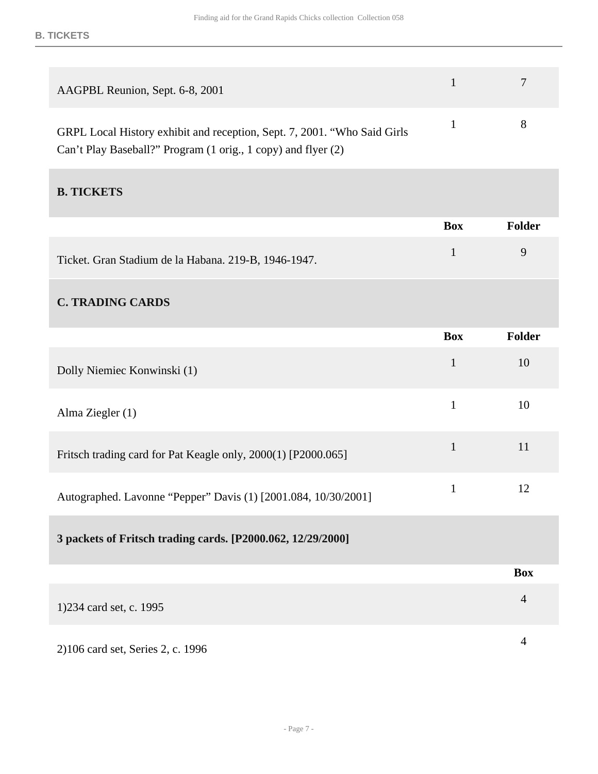| AAGPBL Reunion, Sept. 6-8, 2001                                           | $\tau$ |
|---------------------------------------------------------------------------|--------|
| GRPL Local History exhibit and reception, Sept. 7, 2001. "Who Said Girls" |        |
| Can't Play Baseball?" Program (1 orig., 1 copy) and flyer (2)             |        |

## **B. TICKETS**

|                                                                | <b>Box</b>   | <b>Folder</b>  |
|----------------------------------------------------------------|--------------|----------------|
| Ticket. Gran Stadium de la Habana. 219-B, 1946-1947.           | $\mathbf{1}$ | 9              |
| <b>C. TRADING CARDS</b>                                        |              |                |
|                                                                | <b>Box</b>   | <b>Folder</b>  |
| Dolly Niemiec Konwinski (1)                                    | $\mathbf{1}$ | 10             |
| Alma Ziegler (1)                                               | $\mathbf{1}$ | 10             |
| Fritsch trading card for Pat Keagle only, 2000(1) [P2000.065]  | $\mathbf{1}$ | 11             |
| Autographed. Lavonne "Pepper" Davis (1) [2001.084, 10/30/2001] | $\mathbf{1}$ | 12             |
| 3 packets of Fritsch trading cards. [P2000.062, 12/29/2000]    |              |                |
|                                                                |              | <b>Box</b>     |
| 1)234 card set, c. 1995                                        |              | $\overline{4}$ |
| 2)106 card set, Series 2, c. 1996                              |              | $\overline{4}$ |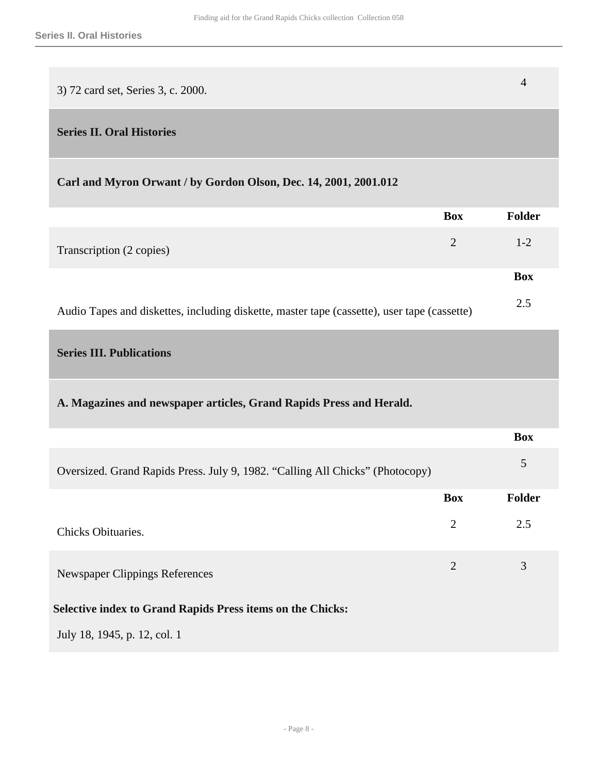| 3) 72 card set, Series 3, c. 2000. |  |
|------------------------------------|--|

#### <span id="page-7-0"></span>**Series II. Oral Histories**

## **Carl and Myron Orwant / by Gordon Olson, Dec. 14, 2001, 2001.012**

|                                                                                             | <b>Box</b> | <b>Folder</b> |
|---------------------------------------------------------------------------------------------|------------|---------------|
| Transcription (2 copies)                                                                    | 2          | $1 - 2$       |
|                                                                                             |            | <b>Box</b>    |
| Audio Tapes and diskettes, including diskette, master tape (cassette), user tape (cassette) |            | 2.5           |

## <span id="page-7-1"></span>**Series III. Publications**

## **A. Magazines and newspaper articles, Grand Rapids Press and Herald.**

|                                                                               |            | <b>Box</b>    |
|-------------------------------------------------------------------------------|------------|---------------|
| Oversized. Grand Rapids Press. July 9, 1982. "Calling All Chicks" (Photocopy) |            | 5             |
|                                                                               | <b>Box</b> | <b>Folder</b> |
| Chicks Obituaries.                                                            | 2          | 2.5           |
| Newspaper Clippings References                                                | 2          | 3             |
| <b>Selective index to Grand Rapids Press items on the Chicks:</b>             |            |               |
| July 18, 1945, p. 12, col. 1                                                  |            |               |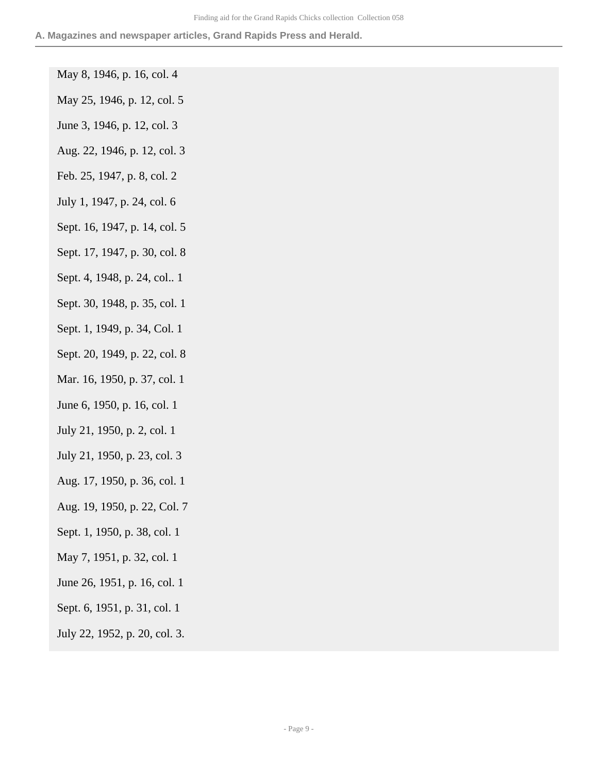#### **A. Magazines and newspaper articles, Grand Rapids Press and Herald.**

- May 8, 1946, p. 16, col. 4
- May 25, 1946, p. 12, col. 5
- June 3, 1946, p. 12, col. 3
- Aug. 22, 1946, p. 12, col. 3
- Feb. 25, 1947, p. 8, col. 2
- July 1, 1947, p. 24, col. 6
- Sept. 16, 1947, p. 14, col. 5
- Sept. 17, 1947, p. 30, col. 8
- Sept. 4, 1948, p. 24, col.. 1
- Sept. 30, 1948, p. 35, col. 1
- Sept. 1, 1949, p. 34, Col. 1
- Sept. 20, 1949, p. 22, col. 8
- Mar. 16, 1950, p. 37, col. 1
- June 6, 1950, p. 16, col. 1
- July 21, 1950, p. 2, col. 1
- July 21, 1950, p. 23, col. 3
- Aug. 17, 1950, p. 36, col. 1
- Aug. 19, 1950, p. 22, Col. 7
- Sept. 1, 1950, p. 38, col. 1
- May 7, 1951, p. 32, col. 1
- June 26, 1951, p. 16, col. 1
- Sept. 6, 1951, p. 31, col. 1
- July 22, 1952, p. 20, col. 3.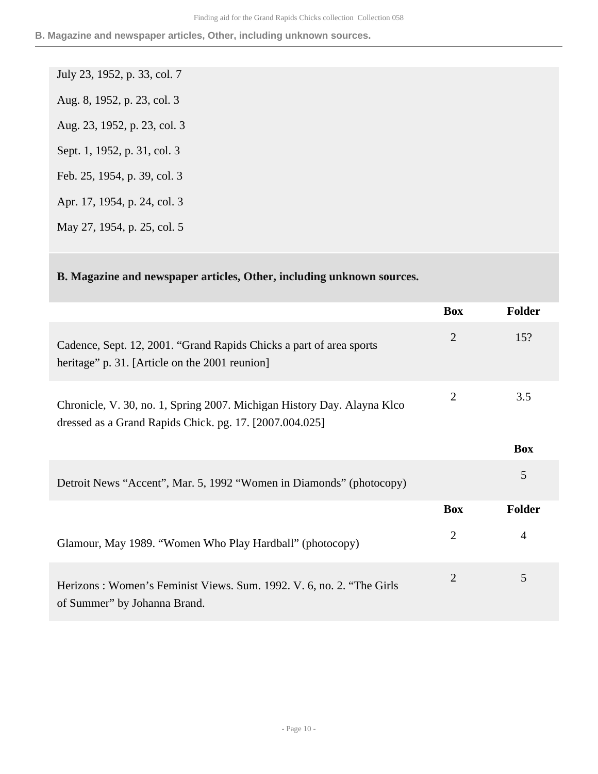**B. Magazine and newspaper articles, Other, including unknown sources.**

- July 23, 1952, p. 33, col. 7 Aug. 8, 1952, p. 23, col. 3 Aug. 23, 1952, p. 23, col. 3 Sept. 1, 1952, p. 31, col. 3 Feb. 25, 1954, p. 39, col. 3 Apr. 17, 1954, p. 24, col. 3
- May 27, 1954, p. 25, col. 5

### **B. Magazine and newspaper articles, Other, including unknown sources.**

|                                                                                                                                    | <b>Box</b>     | Folder     |
|------------------------------------------------------------------------------------------------------------------------------------|----------------|------------|
| Cadence, Sept. 12, 2001. "Grand Rapids Chicks a part of area sports<br>heritage" p. 31. [Article on the 2001 reunion]              | $\overline{2}$ | 15?        |
| Chronicle, V. 30, no. 1, Spring 2007. Michigan History Day. Alayna Klco<br>dressed as a Grand Rapids Chick. pg. 17. [2007.004.025] | 2              | 3.5        |
|                                                                                                                                    |                | <b>Box</b> |
| Detroit News "Accent", Mar. 5, 1992 "Women in Diamonds" (photocopy)                                                                |                | 5          |
|                                                                                                                                    | <b>Box</b>     | Folder     |
| Glamour, May 1989. "Women Who Play Hardball" (photocopy)                                                                           | $\overline{2}$ | 4          |
| Herizons: Women's Feminist Views. Sum. 1992. V. 6, no. 2. "The Girls<br>of Summer" by Johanna Brand.                               | $\overline{2}$ | 5          |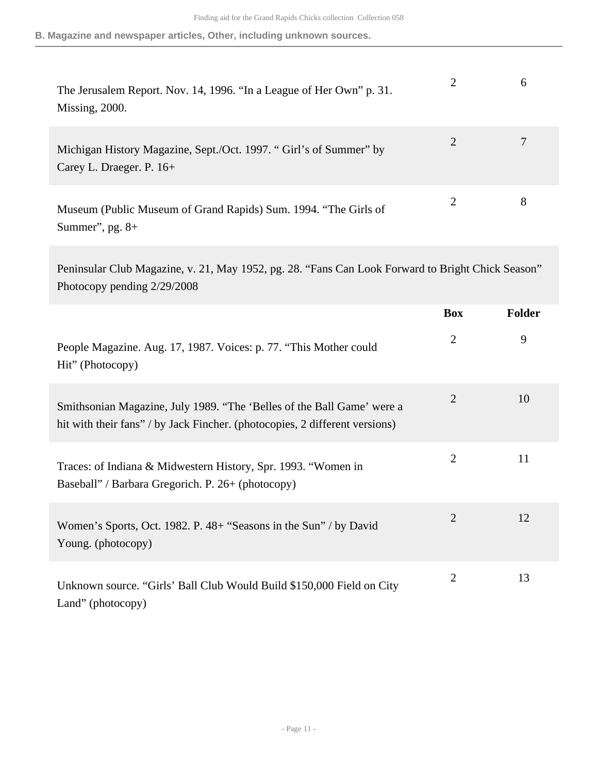**B. Magazine and newspaper articles, Other, including unknown sources.**

| The Jerusalem Report. Nov. 14, 1996. "In a League of Her Own" p. 31.<br>Missing, 2000.          |   | O |
|-------------------------------------------------------------------------------------------------|---|---|
| Michigan History Magazine, Sept./Oct. 1997. "Girl's of Summer" by<br>Carey L. Draeger. P. $16+$ | 2 |   |
| Museum (Public Museum of Grand Rapids) Sum. 1994. "The Girls of<br>Summer", pg. $8+$            |   | 8 |

Peninsular Club Magazine, v. 21, May 1952, pg. 28. "Fans Can Look Forward to Bright Chick Season" Photocopy pending 2/29/2008

|                                                                                                                                                       | <b>Box</b>     | <b>Folder</b> |
|-------------------------------------------------------------------------------------------------------------------------------------------------------|----------------|---------------|
| People Magazine. Aug. 17, 1987. Voices: p. 77. "This Mother could<br>Hit" (Photocopy)                                                                 | $\overline{2}$ | 9             |
| Smithsonian Magazine, July 1989. "The 'Belles of the Ball Game' were a<br>hit with their fans" / by Jack Fincher. (photocopies, 2 different versions) | $\overline{2}$ | 10            |
| Traces: of Indiana & Midwestern History, Spr. 1993. "Women in<br>Baseball" / Barbara Gregorich. P. 26+ (photocopy)                                    | $\overline{2}$ | 11            |
| Women's Sports, Oct. 1982. P. 48+ "Seasons in the Sun" / by David<br>Young. (photocopy)                                                               | $\overline{2}$ | 12            |
| Unknown source. "Girls' Ball Club Would Build \$150,000 Field on City<br>Land" (photocopy)                                                            | $\overline{2}$ | 13            |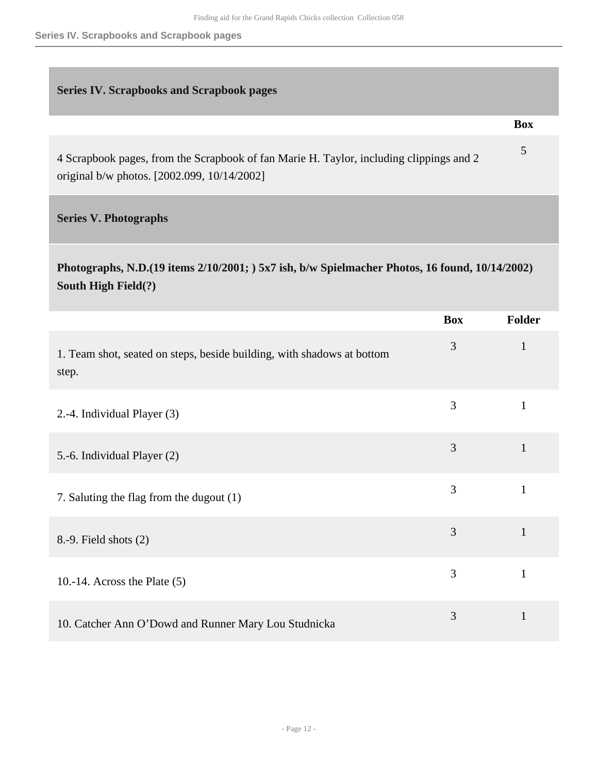**Series IV. Scrapbooks and Scrapbook pages**

#### <span id="page-11-0"></span>**Series IV. Scrapbooks and Scrapbook pages**

**Box**

5

4 Scrapbook pages, from the Scrapbook of fan Marie H. Taylor, including clippings and 2 original b/w photos. [2002.099, 10/14/2002]

### <span id="page-11-1"></span>**Series V. Photographs**

# **Photographs, N.D.(19 items 2/10/2001; ) 5x7 ish, b/w Spielmacher Photos, 16 found, 10/14/2002) South High Field(?)**

|                                                                                 | <b>Box</b> | <b>Folder</b> |
|---------------------------------------------------------------------------------|------------|---------------|
| 1. Team shot, seated on steps, beside building, with shadows at bottom<br>step. | 3          | $\mathbf{1}$  |
| 2.-4. Individual Player (3)                                                     | 3          | $\mathbf{1}$  |
| 5.-6. Individual Player (2)                                                     | 3          | $\mathbf{1}$  |
| 7. Saluting the flag from the dugout (1)                                        | 3          | $\mathbf{1}$  |
| 8.-9. Field shots (2)                                                           | 3          | $\mathbf{1}$  |
| 10.-14. Across the Plate $(5)$                                                  | 3          | 1             |
| 10. Catcher Ann O'Dowd and Runner Mary Lou Studnicka                            | 3          | $\mathbf{1}$  |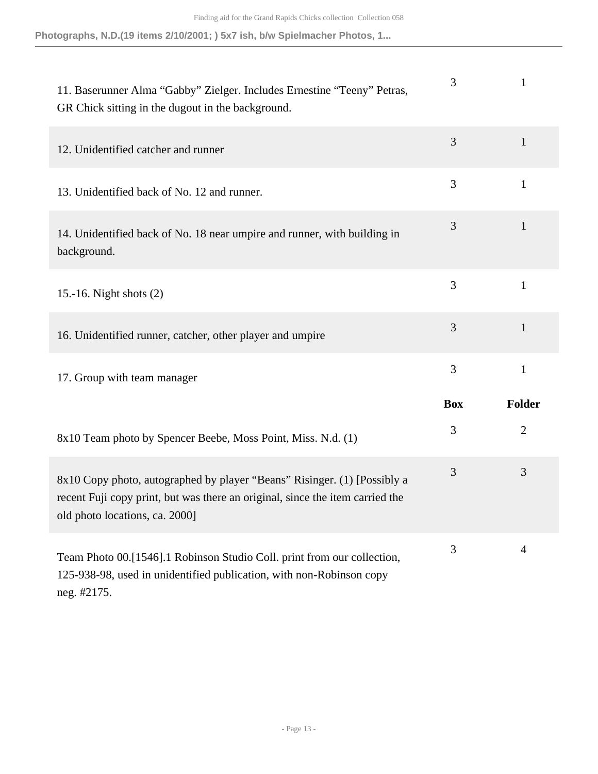| 11. Baserunner Alma "Gabby" Zielger. Includes Ernestine "Teeny" Petras,<br>GR Chick sitting in the dugout in the background.                                                                | 3          | 1              |
|---------------------------------------------------------------------------------------------------------------------------------------------------------------------------------------------|------------|----------------|
| 12. Unidentified catcher and runner                                                                                                                                                         | 3          | $\mathbf{1}$   |
| 13. Unidentified back of No. 12 and runner.                                                                                                                                                 | 3          | $\mathbf{1}$   |
| 14. Unidentified back of No. 18 near umpire and runner, with building in<br>background.                                                                                                     | 3          | $\mathbf{1}$   |
| 15.-16. Night shots $(2)$                                                                                                                                                                   | 3          | $\mathbf{1}$   |
| 16. Unidentified runner, catcher, other player and umpire                                                                                                                                   | 3          | 1              |
| 17. Group with team manager                                                                                                                                                                 | 3          | $\mathbf{1}$   |
|                                                                                                                                                                                             | <b>Box</b> | Folder         |
| 8x10 Team photo by Spencer Beebe, Moss Point, Miss. N.d. (1)                                                                                                                                | 3          | $\overline{2}$ |
| 8x10 Copy photo, autographed by player "Beans" Risinger. (1) [Possibly a<br>recent Fuji copy print, but was there an original, since the item carried the<br>old photo locations, ca. 2000] | 3          | 3              |
| Team Photo 00.[1546].1 Robinson Studio Coll. print from our collection,<br>125-938-98, used in unidentified publication, with non-Robinson copy<br>neg. #2175.                              | 3          | $\overline{4}$ |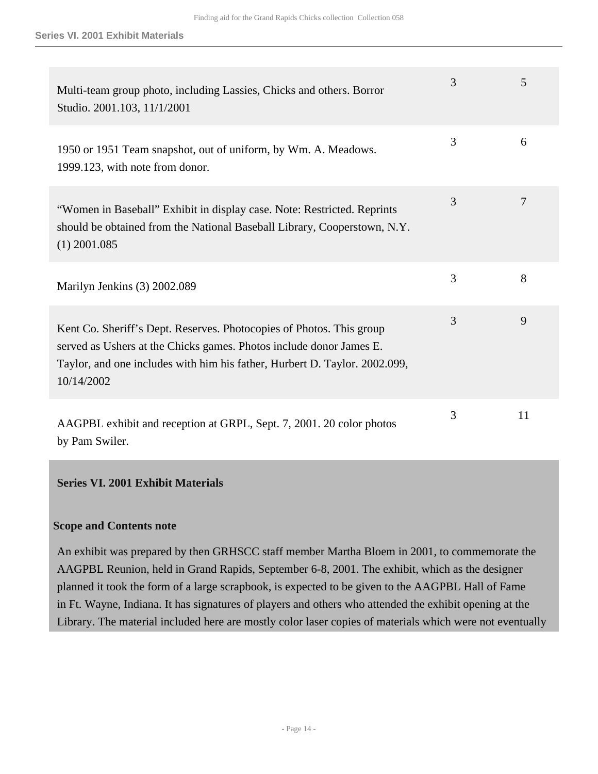| Multi-team group photo, including Lassies, Chicks and others. Borror<br>Studio. 2001.103, 11/1/2001                                                                                                                                     | 3 | 5  |
|-----------------------------------------------------------------------------------------------------------------------------------------------------------------------------------------------------------------------------------------|---|----|
| 1950 or 1951 Team snapshot, out of uniform, by Wm. A. Meadows.<br>1999.123, with note from donor.                                                                                                                                       | 3 | 6  |
| "Women in Baseball" Exhibit in display case. Note: Restricted. Reprints<br>should be obtained from the National Baseball Library, Cooperstown, N.Y.<br>$(1)$ 2001.085                                                                   | 3 | 7  |
| Marilyn Jenkins (3) 2002.089                                                                                                                                                                                                            | 3 | 8  |
| Kent Co. Sheriff's Dept. Reserves. Photocopies of Photos. This group<br>served as Ushers at the Chicks games. Photos include donor James E.<br>Taylor, and one includes with him his father, Hurbert D. Taylor. 2002.099,<br>10/14/2002 | 3 | 9  |
| AAGPBL exhibit and reception at GRPL, Sept. 7, 2001. 20 color photos<br>by Pam Swiler.                                                                                                                                                  | 3 | 11 |

#### <span id="page-13-0"></span>**Series VI. 2001 Exhibit Materials**

#### **Scope and Contents note**

An exhibit was prepared by then GRHSCC staff member Martha Bloem in 2001, to commemorate the AAGPBL Reunion, held in Grand Rapids, September 6-8, 2001. The exhibit, which as the designer planned it took the form of a large scrapbook, is expected to be given to the AAGPBL Hall of Fame in Ft. Wayne, Indiana. It has signatures of players and others who attended the exhibit opening at the Library. The material included here are mostly color laser copies of materials which were not eventually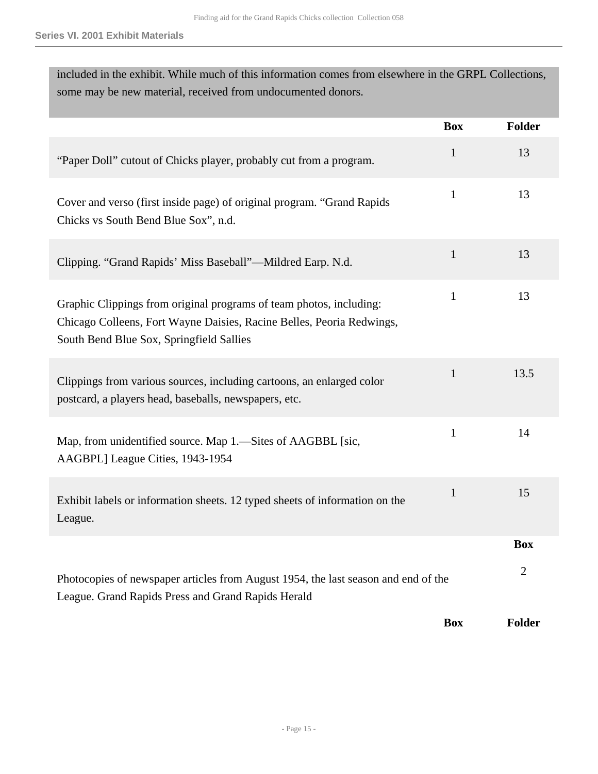| included in the exhibit. While much of this information comes from elsewhere in the GRPL Collections,<br>some may be new material, received from undocumented donors.                    |              |                |  |
|------------------------------------------------------------------------------------------------------------------------------------------------------------------------------------------|--------------|----------------|--|
|                                                                                                                                                                                          | <b>Box</b>   | <b>Folder</b>  |  |
| "Paper Doll" cutout of Chicks player, probably cut from a program.                                                                                                                       | $\mathbf{1}$ | 13             |  |
| Cover and verso (first inside page) of original program. "Grand Rapids<br>Chicks vs South Bend Blue Sox", n.d.                                                                           | $\mathbf{1}$ | 13             |  |
| Clipping. "Grand Rapids' Miss Baseball"—Mildred Earp. N.d.                                                                                                                               | $\mathbf{1}$ | 13             |  |
| Graphic Clippings from original programs of team photos, including:<br>Chicago Colleens, Fort Wayne Daisies, Racine Belles, Peoria Redwings,<br>South Bend Blue Sox, Springfield Sallies | $\mathbf{1}$ | 13             |  |
| Clippings from various sources, including cartoons, an enlarged color<br>postcard, a players head, baseballs, newspapers, etc.                                                           | $\mathbf{1}$ | 13.5           |  |
| Map, from unidentified source. Map 1.—Sites of AAGBBL [sic,<br>AAGBPL] League Cities, 1943-1954                                                                                          | $\mathbf{1}$ | 14             |  |
| Exhibit labels or information sheets. 12 typed sheets of information on the<br>League.                                                                                                   | $\mathbf{1}$ | 15             |  |
|                                                                                                                                                                                          |              | <b>Box</b>     |  |
| Photocopies of newspaper articles from August 1954, the last season and end of the<br>League. Grand Rapids Press and Grand Rapids Herald                                                 |              | $\overline{2}$ |  |
|                                                                                                                                                                                          | <b>Box</b>   | <b>Folder</b>  |  |